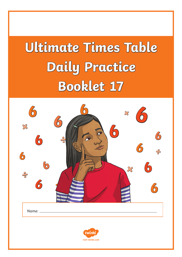# **Ultimate Times Table Daily Practice Booklet 17**

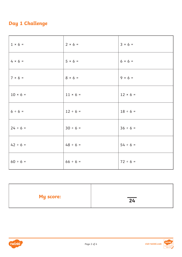## **Day 1 Challenge**

| $1 \times 6 =$ | $2 × 6 =$      | $3 \times 6 =$ |
|----------------|----------------|----------------|
| $4 × 6 =$      | $5 \times 6 =$ | $6 \times 6 =$ |
| $7 × 6 =$      | $8 × 6 =$      | $9 \times 6 =$ |
| $10 × 6 =$     | $11 × 6 =$     | $12 × 6 =$     |
| $6 ÷ 6 =$      | $12 \div 6 =$  | $18 \div 6 =$  |
| $24 \div 6 =$  | $30 \div 6 =$  | $36 \div 6 =$  |
| $42 \div 6 =$  | $48 \div 6 =$  | $54 \div 6 =$  |
| $60 \div 6 =$  | $66 \div 6 =$  | $72 \div 6 =$  |

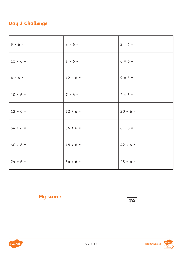## **Day 2 Challenge**

| $5 \times 6 =$ | $8 × 6 =$       | $3 × 6 =$     |
|----------------|-----------------|---------------|
| $11 × 6 =$     | $1 \times 6 =$  | $6 × 6 =$     |
| $4 × 6 =$      | $12 \times 6 =$ | $9 × 6 =$     |
| $10 × 6 =$     | $7 × 6 =$       | $2 × 6 =$     |
| $12 \div 6 =$  | $72 \div 6 =$   | $30 \div 6 =$ |
| $54 \div 6 =$  | $36 \div 6 =$   | $6 ÷ 6 =$     |
| $60 \div 6 =$  | $18 \div 6 =$   | $42 \div 6 =$ |
| $24 \div 6 =$  | $66 \div 6 =$   | $48 \div 6 =$ |

| <b>My score:</b> | $\overline{24}$ |
|------------------|-----------------|
|                  |                 |



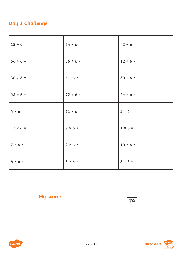## **Day 3 Challenge**

| $18 \div 6 =$  | $54 \div 6 =$  | $42 \div 6 =$  |
|----------------|----------------|----------------|
| $66 \div 6 =$  | $36 \div 6 =$  | $12 \div 6 =$  |
| $30 \div 6 =$  | $6 ÷ 6 =$      | $60 \div 6 =$  |
| $48 \div 6 =$  | $72 \div 6 =$  | $24 \div 6 =$  |
| $4 × 6 =$      | $11 × 6 =$     | $5 × 6 =$      |
| $12 × 6 =$     | $9 \times 6 =$ | $1 \times 6 =$ |
| $7 \times 6 =$ | $2 × 6 =$      | $10 × 6 =$     |
| $6 × 6 =$      | $3 × 6 =$      | $8 × 6 =$      |

| <b>My score:</b> | $\overline{24}$ |
|------------------|-----------------|
|                  |                 |



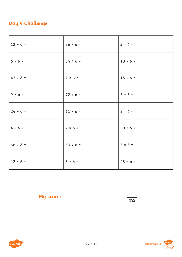## **Day 4 Challenge**

| $12 \div 6 =$  | $36 \div 6 =$  | $3 × 6 =$      |
|----------------|----------------|----------------|
| $6 \times 6 =$ | $54 \div 6 =$  | $10 × 6 =$     |
| $42 \div 6 =$  | $1 \times 6 =$ | $18 \div 6 =$  |
| $9 × 6 =$      | $72 \div 6 =$  | $6 ÷ 6 =$      |
| $24 \div 6 =$  | $11 × 6 =$     | $2 × 6 =$      |
| $4 \times 6 =$ | $7 × 6 =$      | $30 \div 6 =$  |
| $66 \div 6 =$  | $60 \div 6 =$  | $5 \times 6 =$ |
| $12 × 6 =$     | $8 × 6 =$      | $48 \div 6 =$  |

| <b>My score:</b> | $\overline{24}$ |
|------------------|-----------------|
|                  |                 |